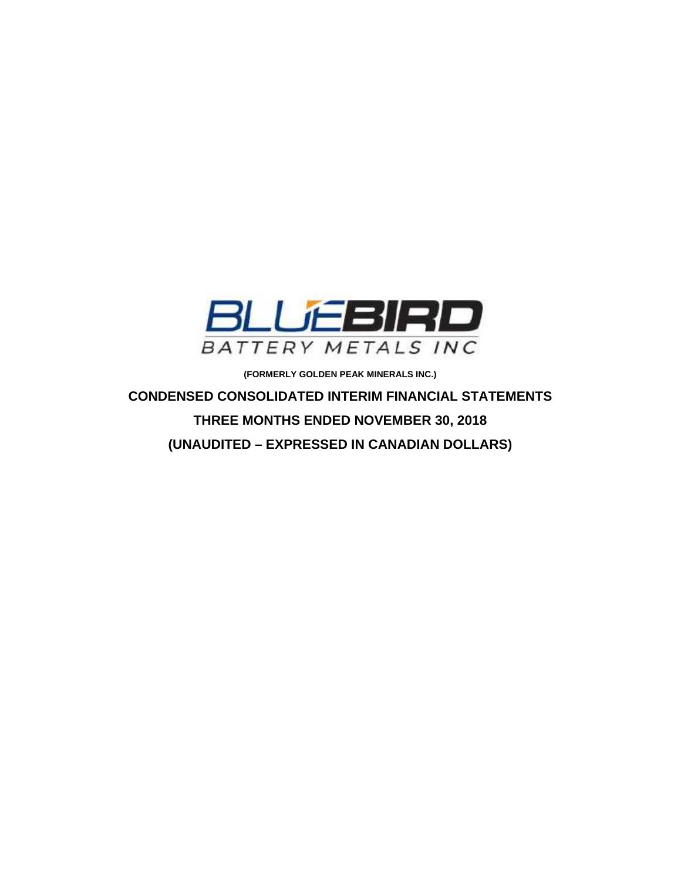

**(FORMERLY GOLDEN PEAK MINERALS INC.)** 

**CONDENSED CONSOLIDATED INTERIM FINANCIAL STATEMENTS THREE MONTHS ENDED NOVEMBER 30, 2018 (UNAUDITED – EXPRESSED IN CANADIAN DOLLARS)**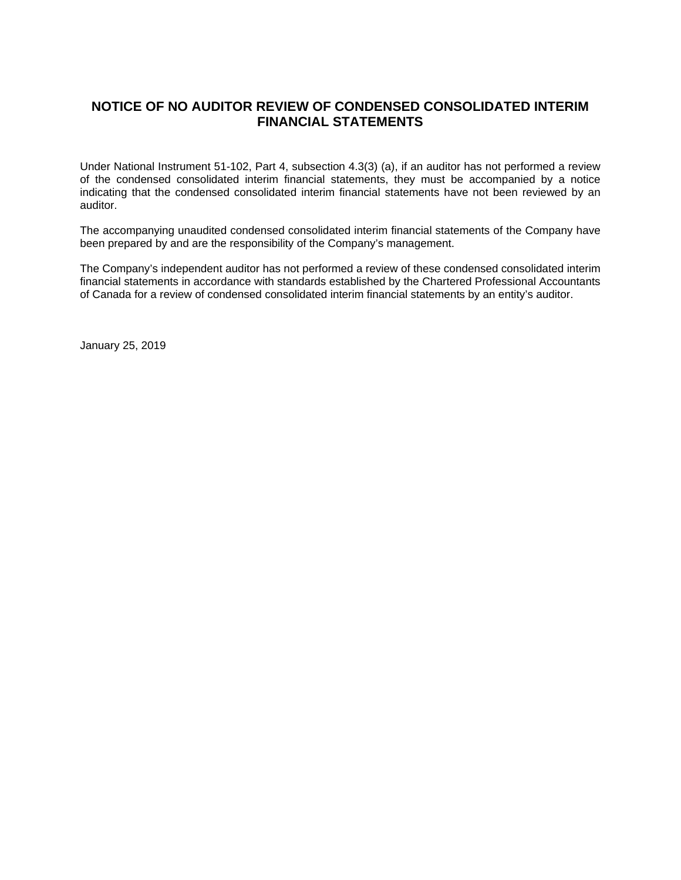# **NOTICE OF NO AUDITOR REVIEW OF CONDENSED CONSOLIDATED INTERIM FINANCIAL STATEMENTS**

Under National Instrument 51-102, Part 4, subsection 4.3(3) (a), if an auditor has not performed a review of the condensed consolidated interim financial statements, they must be accompanied by a notice indicating that the condensed consolidated interim financial statements have not been reviewed by an auditor.

The accompanying unaudited condensed consolidated interim financial statements of the Company have been prepared by and are the responsibility of the Company's management.

The Company's independent auditor has not performed a review of these condensed consolidated interim financial statements in accordance with standards established by the Chartered Professional Accountants of Canada for a review of condensed consolidated interim financial statements by an entity's auditor.

January 25, 2019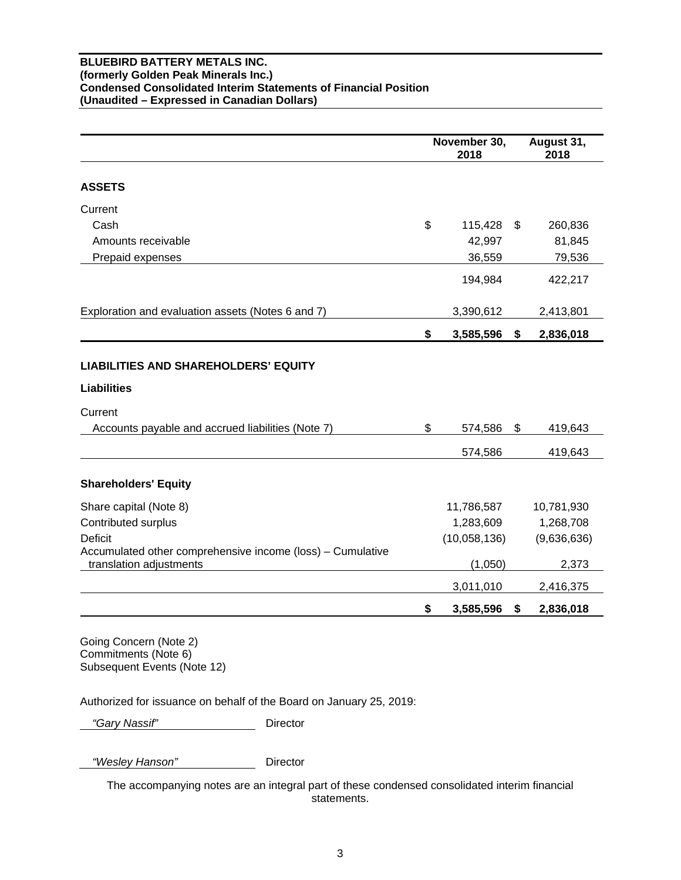## **BLUEBIRD BATTERY METALS INC. (formerly Golden Peak Minerals Inc.) Condensed Consolidated Interim Statements of Financial Position (Unaudited – Expressed in Canadian Dollars)**

|                                                                                       | November 30,<br>2018 |    | August 31,<br>2018 |
|---------------------------------------------------------------------------------------|----------------------|----|--------------------|
| <b>ASSETS</b>                                                                         |                      |    |                    |
| Current                                                                               |                      |    |                    |
| Cash                                                                                  | \$<br>115,428        | \$ | 260,836            |
| Amounts receivable                                                                    | 42,997               |    | 81,845             |
| Prepaid expenses                                                                      | 36,559               |    | 79,536             |
|                                                                                       | 194,984              |    | 422,217            |
| Exploration and evaluation assets (Notes 6 and 7)                                     | 3,390,612            |    | 2,413,801          |
|                                                                                       | \$<br>3,585,596      | \$ | 2,836,018          |
| <b>LIABILITIES AND SHAREHOLDERS' EQUITY</b>                                           |                      |    |                    |
| <b>Liabilities</b>                                                                    |                      |    |                    |
| Current                                                                               |                      |    |                    |
| Accounts payable and accrued liabilities (Note 7)                                     | \$<br>574,586        | \$ | 419,643            |
|                                                                                       | 574,586              |    | 419,643            |
| <b>Shareholders' Equity</b>                                                           |                      |    |                    |
| Share capital (Note 8)                                                                | 11,786,587           |    | 10,781,930         |
| Contributed surplus                                                                   | 1,283,609            |    | 1,268,708          |
| <b>Deficit</b>                                                                        | (10,058,136)         |    | (9,636,636)        |
| Accumulated other comprehensive income (loss) - Cumulative<br>translation adjustments | (1,050)              |    | 2,373              |
|                                                                                       | 3,011,010            |    | 2,416,375          |
|                                                                                       | \$<br>3,585,596      | \$ | 2,836,018          |
| Going Concern (Note 2)<br>Commonlimont (N)                                            |                      |    |                    |

Commitments (Note 6) Subsequent Events (Note 12)

Authorized for issuance on behalf of the Board on January 25, 2019:

 *"Gary Nassif"* Director

 *"Wesley Hanson"* Director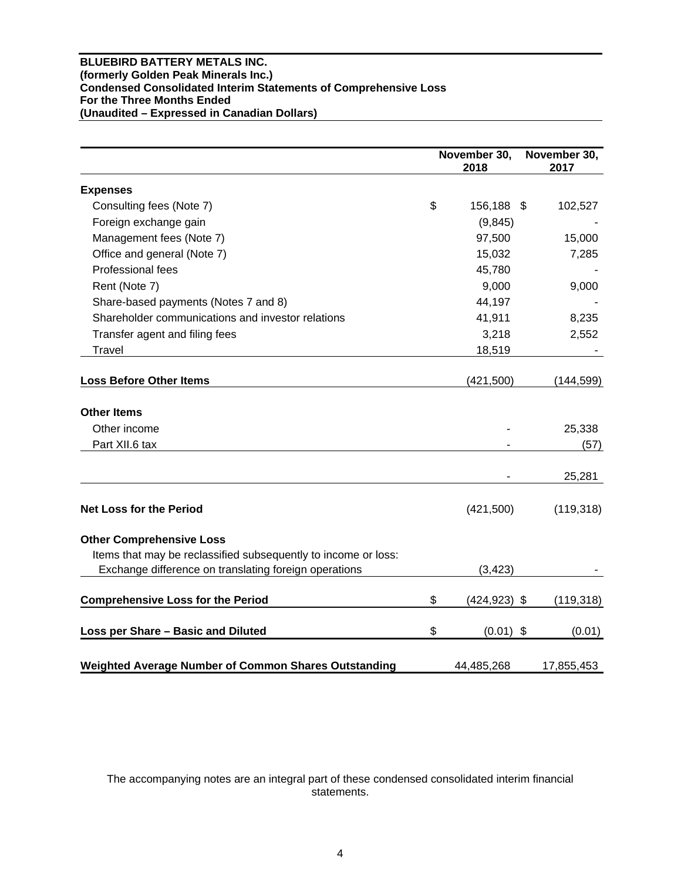## **BLUEBIRD BATTERY METALS INC. (formerly Golden Peak Minerals Inc.) Condensed Consolidated Interim Statements of Comprehensive Loss For the Three Months Ended (Unaudited – Expressed in Canadian Dollars)**

|                                                                | November 30,<br>2018  | November 30,<br>2017 |
|----------------------------------------------------------------|-----------------------|----------------------|
| <b>Expenses</b>                                                |                       |                      |
| Consulting fees (Note 7)                                       | \$<br>156,188 \$      | 102,527              |
| Foreign exchange gain                                          | (9, 845)              |                      |
| Management fees (Note 7)                                       | 97,500                | 15,000               |
| Office and general (Note 7)                                    | 15,032                | 7,285                |
| Professional fees                                              | 45,780                |                      |
| Rent (Note 7)                                                  | 9,000                 | 9,000                |
| Share-based payments (Notes 7 and 8)                           | 44,197                |                      |
| Shareholder communications and investor relations              | 41,911                | 8,235                |
| Transfer agent and filing fees                                 | 3,218                 | 2,552                |
| <b>Travel</b>                                                  | 18,519                |                      |
| <b>Loss Before Other Items</b>                                 | (421,500)             | (144, 599)           |
| <b>Other Items</b>                                             |                       |                      |
| Other income                                                   |                       | 25,338               |
| Part XII.6 tax                                                 |                       | (57)                 |
|                                                                |                       | 25,281               |
| <b>Net Loss for the Period</b>                                 | (421,500)             | (119, 318)           |
| <b>Other Comprehensive Loss</b>                                |                       |                      |
| Items that may be reclassified subsequently to income or loss: |                       |                      |
| Exchange difference on translating foreign operations          | (3, 423)              |                      |
| <b>Comprehensive Loss for the Period</b>                       | \$<br>$(424, 923)$ \$ | (119, 318)           |
| Loss per Share - Basic and Diluted                             | \$<br>$(0.01)$ \$     | (0.01)               |
| Weighted Average Number of Common Shares Outstanding           | 44,485,268            | 17,855,453           |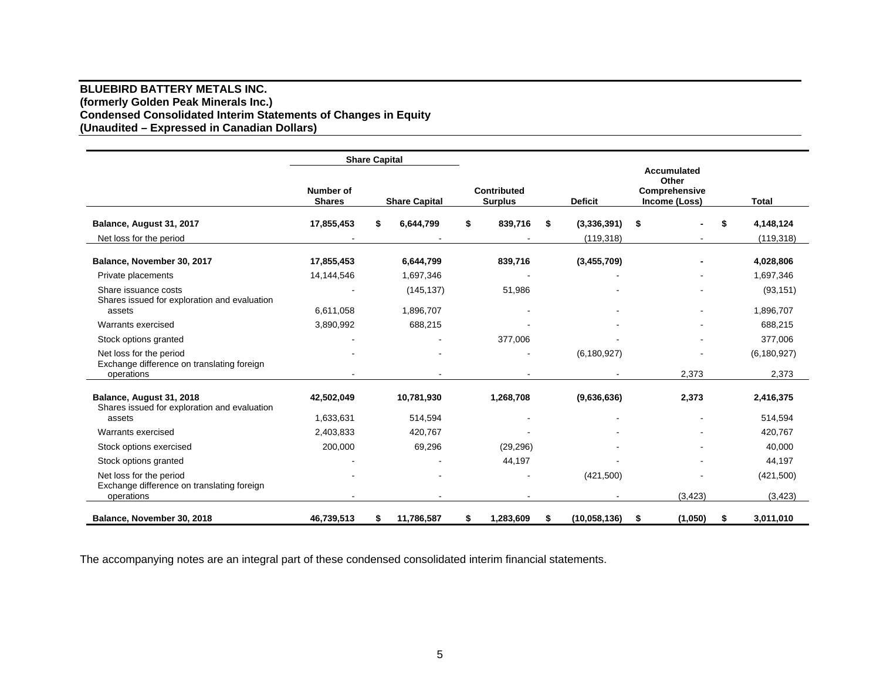## **BLUEBIRD BATTERY METALS INC. (formerly Golden Peak Minerals Inc.) Condensed Consolidated Interim Statements of Changes in Equity (Unaudited – Expressed in Canadian Dollars)**

|                                                                                            |                            | <b>Share Capital</b> |                         |                               |    |                |                                                               |          |                        |
|--------------------------------------------------------------------------------------------|----------------------------|----------------------|-------------------------|-------------------------------|----|----------------|---------------------------------------------------------------|----------|------------------------|
|                                                                                            | Number of<br><b>Shares</b> |                      | <b>Share Capital</b>    | Contributed<br><b>Surplus</b> |    | <b>Deficit</b> | <b>Accumulated</b><br>Other<br>Comprehensive<br>Income (Loss) |          | <b>Total</b>           |
| Balance, August 31, 2017                                                                   | 17,855,453                 | \$                   | 6,644,799               | \$<br>839,716                 | S. | (3,336,391)    | \$                                                            |          | \$<br>4,148,124        |
| Net loss for the period                                                                    |                            |                      |                         |                               |    | (119, 318)     |                                                               |          | (119, 318)             |
| Balance, November 30, 2017                                                                 | 17,855,453                 |                      | 6,644,799               | 839,716                       |    | (3,455,709)    |                                                               |          | 4,028,806              |
| Private placements<br>Share issuance costs<br>Shares issued for exploration and evaluation | 14,144,546                 |                      | 1,697,346<br>(145, 137) | 51,986                        |    |                |                                                               |          | 1,697,346<br>(93, 151) |
| assets                                                                                     | 6,611,058                  |                      | 1,896,707               |                               |    |                |                                                               |          | 1,896,707              |
| Warrants exercised                                                                         | 3,890,992                  |                      | 688,215                 |                               |    |                |                                                               |          | 688,215                |
| Stock options granted                                                                      |                            |                      |                         | 377,006                       |    |                |                                                               |          | 377,006                |
| Net loss for the period<br>Exchange difference on translating foreign                      |                            |                      |                         |                               |    | (6, 180, 927)  |                                                               |          | (6, 180, 927)          |
| operations                                                                                 |                            |                      |                         |                               |    |                |                                                               | 2,373    | 2,373                  |
| Balance, August 31, 2018<br>Shares issued for exploration and evaluation                   | 42,502,049                 |                      | 10,781,930              | 1,268,708                     |    | (9,636,636)    |                                                               | 2,373    | 2,416,375              |
| assets                                                                                     | 1,633,631                  |                      | 514,594                 |                               |    |                |                                                               |          | 514,594                |
| Warrants exercised                                                                         | 2,403,833                  |                      | 420,767                 |                               |    |                |                                                               |          | 420,767                |
| Stock options exercised                                                                    | 200,000                    |                      | 69,296                  | (29, 296)                     |    |                |                                                               |          | 40,000                 |
| Stock options granted                                                                      |                            |                      |                         | 44,197                        |    |                |                                                               |          | 44,197                 |
| Net loss for the period<br>Exchange difference on translating foreign<br>operations        |                            |                      |                         |                               |    | (421,500)      |                                                               | (3, 423) | (421, 500)<br>(3, 423) |
| Balance, November 30, 2018                                                                 | 46,739,513                 | \$                   | 11,786,587              | \$<br>1,283,609               | \$ | (10,058,136)   | \$                                                            | (1,050)  | \$<br>3,011,010        |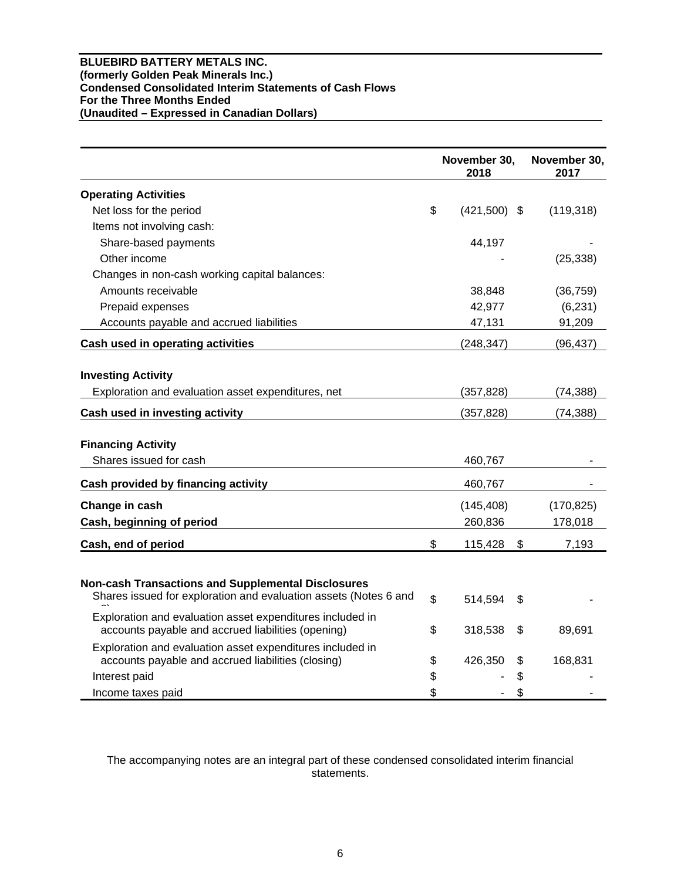## **BLUEBIRD BATTERY METALS INC. (formerly Golden Peak Minerals Inc.) Condensed Consolidated Interim Statements of Cash Flows For the Three Months Ended (Unaudited – Expressed in Canadian Dollars)**

|                                                                                                                               | November 30,<br>2018 | November 30,<br>2017 |
|-------------------------------------------------------------------------------------------------------------------------------|----------------------|----------------------|
| <b>Operating Activities</b>                                                                                                   |                      |                      |
| Net loss for the period                                                                                                       | \$<br>$(421,500)$ \$ | (119, 318)           |
| Items not involving cash:                                                                                                     |                      |                      |
| Share-based payments                                                                                                          | 44,197               |                      |
| Other income                                                                                                                  |                      | (25, 338)            |
| Changes in non-cash working capital balances:                                                                                 |                      |                      |
| Amounts receivable                                                                                                            | 38,848               | (36, 759)            |
| Prepaid expenses                                                                                                              | 42,977               | (6, 231)             |
| Accounts payable and accrued liabilities                                                                                      | 47,131               | 91,209               |
| Cash used in operating activities                                                                                             | (248, 347)           | (96, 437)            |
| <b>Investing Activity</b><br>Exploration and evaluation asset expenditures, net                                               | (357, 828)           | (74, 388)            |
| Cash used in investing activity                                                                                               | (357, 828)           | (74, 388)            |
| <b>Financing Activity</b><br>Shares issued for cash                                                                           | 460,767              |                      |
| <b>Cash provided by financing activity</b>                                                                                    | 460,767              |                      |
| Change in cash                                                                                                                | (145, 408)           | (170, 825)           |
| Cash, beginning of period                                                                                                     | 260,836              | 178,018              |
| Cash, end of period                                                                                                           | \$<br>115,428<br>\$  | 7,193                |
|                                                                                                                               |                      |                      |
| <b>Non-cash Transactions and Supplemental Disclosures</b><br>Shares issued for exploration and evaluation assets (Notes 6 and | \$<br>514,594<br>S   |                      |
| Exploration and evaluation asset expenditures included in<br>accounts payable and accrued liabilities (opening)               | \$<br>318,538<br>\$  | 89,691               |
| Exploration and evaluation asset expenditures included in<br>accounts payable and accrued liabilities (closing)               | \$<br>426,350<br>\$  | 168,831              |
| Interest paid                                                                                                                 | \$<br>\$             |                      |
| Income taxes paid                                                                                                             | \$<br>\$             |                      |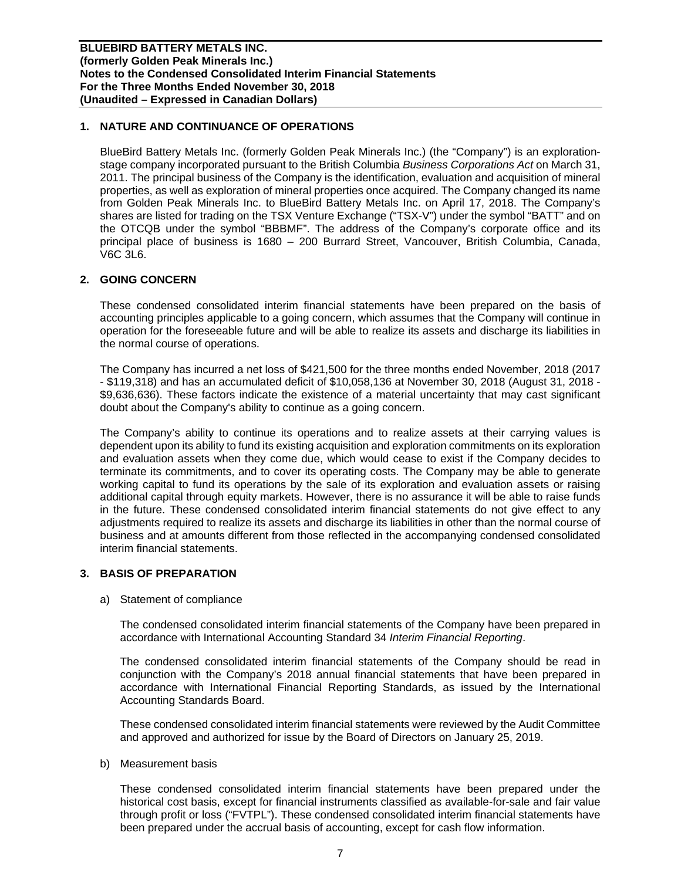## **1. NATURE AND CONTINUANCE OF OPERATIONS**

BlueBird Battery Metals Inc. (formerly Golden Peak Minerals Inc.) (the "Company") is an explorationstage company incorporated pursuant to the British Columbia *Business Corporations Act* on March 31, 2011. The principal business of the Company is the identification, evaluation and acquisition of mineral properties, as well as exploration of mineral properties once acquired. The Company changed its name from Golden Peak Minerals Inc. to BlueBird Battery Metals Inc. on April 17, 2018. The Company's shares are listed for trading on the TSX Venture Exchange ("TSX-V") under the symbol "BATT" and on the OTCQB under the symbol "BBBMF". The address of the Company's corporate office and its principal place of business is 1680 – 200 Burrard Street, Vancouver, British Columbia, Canada, V6C 3L6.

## **2. GOING CONCERN**

These condensed consolidated interim financial statements have been prepared on the basis of accounting principles applicable to a going concern, which assumes that the Company will continue in operation for the foreseeable future and will be able to realize its assets and discharge its liabilities in the normal course of operations.

The Company has incurred a net loss of \$421,500 for the three months ended November, 2018 (2017 - \$119,318) and has an accumulated deficit of \$10,058,136 at November 30, 2018 (August 31, 2018 - \$9,636,636). These factors indicate the existence of a material uncertainty that may cast significant doubt about the Company's ability to continue as a going concern.

The Company's ability to continue its operations and to realize assets at their carrying values is dependent upon its ability to fund its existing acquisition and exploration commitments on its exploration and evaluation assets when they come due, which would cease to exist if the Company decides to terminate its commitments, and to cover its operating costs. The Company may be able to generate working capital to fund its operations by the sale of its exploration and evaluation assets or raising additional capital through equity markets. However, there is no assurance it will be able to raise funds in the future. These condensed consolidated interim financial statements do not give effect to any adjustments required to realize its assets and discharge its liabilities in other than the normal course of business and at amounts different from those reflected in the accompanying condensed consolidated interim financial statements.

## **3. BASIS OF PREPARATION**

a) Statement of compliance

The condensed consolidated interim financial statements of the Company have been prepared in accordance with International Accounting Standard 34 *Interim Financial Reporting*.

The condensed consolidated interim financial statements of the Company should be read in conjunction with the Company's 2018 annual financial statements that have been prepared in accordance with International Financial Reporting Standards, as issued by the International Accounting Standards Board.

These condensed consolidated interim financial statements were reviewed by the Audit Committee and approved and authorized for issue by the Board of Directors on January 25, 2019.

b) Measurement basis

These condensed consolidated interim financial statements have been prepared under the historical cost basis, except for financial instruments classified as available-for-sale and fair value through profit or loss ("FVTPL"). These condensed consolidated interim financial statements have been prepared under the accrual basis of accounting, except for cash flow information.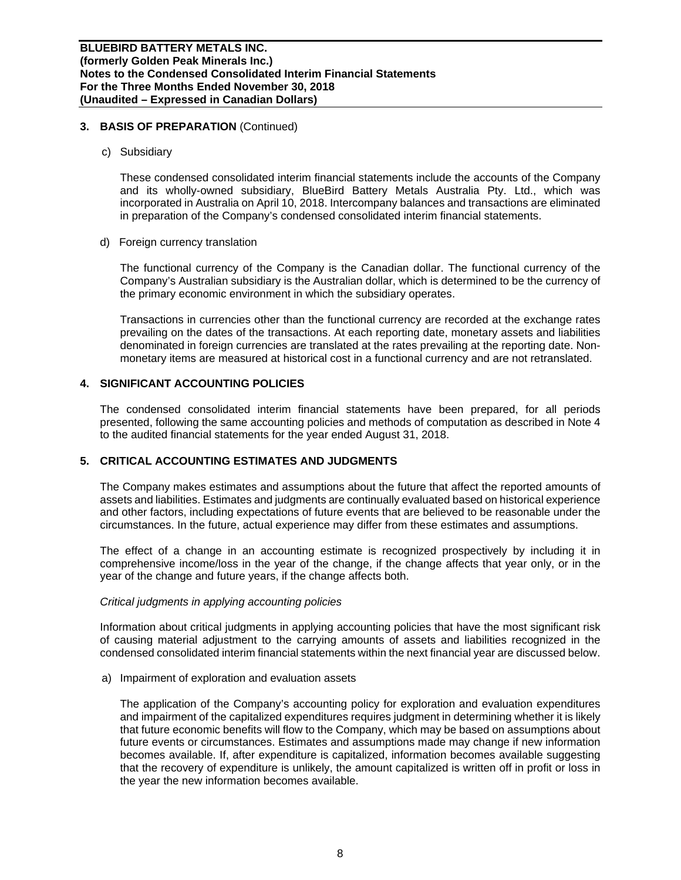## **3. BASIS OF PREPARATION** (Continued)

c) Subsidiary

These condensed consolidated interim financial statements include the accounts of the Company and its wholly-owned subsidiary, BlueBird Battery Metals Australia Pty. Ltd., which was incorporated in Australia on April 10, 2018. Intercompany balances and transactions are eliminated in preparation of the Company's condensed consolidated interim financial statements.

d) Foreign currency translation

The functional currency of the Company is the Canadian dollar. The functional currency of the Company's Australian subsidiary is the Australian dollar, which is determined to be the currency of the primary economic environment in which the subsidiary operates.

Transactions in currencies other than the functional currency are recorded at the exchange rates prevailing on the dates of the transactions. At each reporting date, monetary assets and liabilities denominated in foreign currencies are translated at the rates prevailing at the reporting date. Nonmonetary items are measured at historical cost in a functional currency and are not retranslated.

## **4. SIGNIFICANT ACCOUNTING POLICIES**

The condensed consolidated interim financial statements have been prepared, for all periods presented, following the same accounting policies and methods of computation as described in Note 4 to the audited financial statements for the year ended August 31, 2018.

## **5. CRITICAL ACCOUNTING ESTIMATES AND JUDGMENTS**

The Company makes estimates and assumptions about the future that affect the reported amounts of assets and liabilities. Estimates and judgments are continually evaluated based on historical experience and other factors, including expectations of future events that are believed to be reasonable under the circumstances. In the future, actual experience may differ from these estimates and assumptions.

The effect of a change in an accounting estimate is recognized prospectively by including it in comprehensive income/loss in the year of the change, if the change affects that year only, or in the year of the change and future years, if the change affects both.

## *Critical judgments in applying accounting policies*

Information about critical judgments in applying accounting policies that have the most significant risk of causing material adjustment to the carrying amounts of assets and liabilities recognized in the condensed consolidated interim financial statements within the next financial year are discussed below.

a) Impairment of exploration and evaluation assets

The application of the Company's accounting policy for exploration and evaluation expenditures and impairment of the capitalized expenditures requires judgment in determining whether it is likely that future economic benefits will flow to the Company, which may be based on assumptions about future events or circumstances. Estimates and assumptions made may change if new information becomes available. If, after expenditure is capitalized, information becomes available suggesting that the recovery of expenditure is unlikely, the amount capitalized is written off in profit or loss in the year the new information becomes available.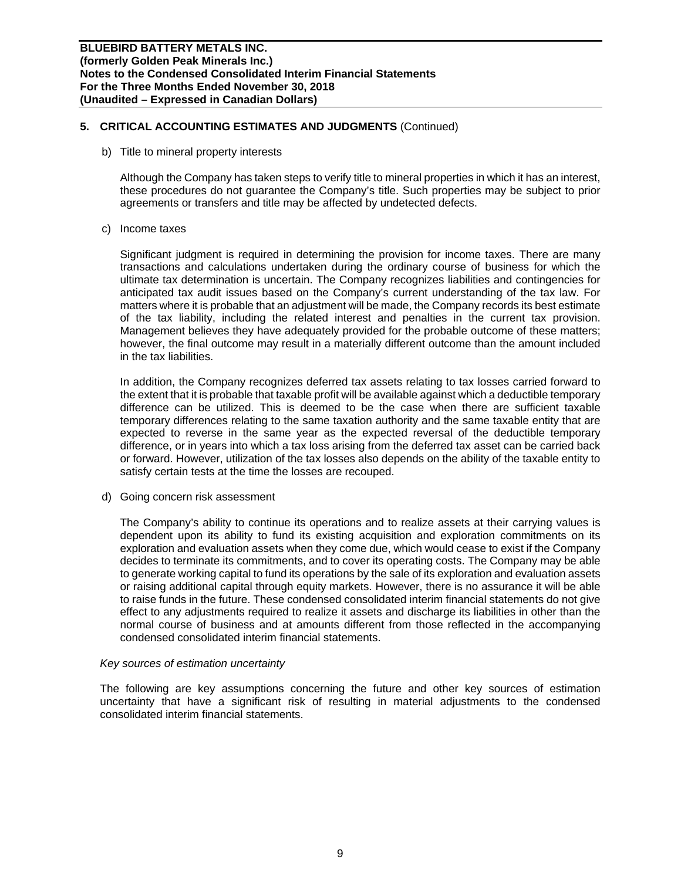## **5. CRITICAL ACCOUNTING ESTIMATES AND JUDGMENTS** (Continued)

b) Title to mineral property interests

Although the Company has taken steps to verify title to mineral properties in which it has an interest, these procedures do not guarantee the Company's title. Such properties may be subject to prior agreements or transfers and title may be affected by undetected defects.

c) Income taxes

Significant judgment is required in determining the provision for income taxes. There are many transactions and calculations undertaken during the ordinary course of business for which the ultimate tax determination is uncertain. The Company recognizes liabilities and contingencies for anticipated tax audit issues based on the Company's current understanding of the tax law. For matters where it is probable that an adjustment will be made, the Company records its best estimate of the tax liability, including the related interest and penalties in the current tax provision. Management believes they have adequately provided for the probable outcome of these matters; however, the final outcome may result in a materially different outcome than the amount included in the tax liabilities.

In addition, the Company recognizes deferred tax assets relating to tax losses carried forward to the extent that it is probable that taxable profit will be available against which a deductible temporary difference can be utilized. This is deemed to be the case when there are sufficient taxable temporary differences relating to the same taxation authority and the same taxable entity that are expected to reverse in the same year as the expected reversal of the deductible temporary difference, or in years into which a tax loss arising from the deferred tax asset can be carried back or forward. However, utilization of the tax losses also depends on the ability of the taxable entity to satisfy certain tests at the time the losses are recouped.

d) Going concern risk assessment

The Company's ability to continue its operations and to realize assets at their carrying values is dependent upon its ability to fund its existing acquisition and exploration commitments on its exploration and evaluation assets when they come due, which would cease to exist if the Company decides to terminate its commitments, and to cover its operating costs. The Company may be able to generate working capital to fund its operations by the sale of its exploration and evaluation assets or raising additional capital through equity markets. However, there is no assurance it will be able to raise funds in the future. These condensed consolidated interim financial statements do not give effect to any adjustments required to realize it assets and discharge its liabilities in other than the normal course of business and at amounts different from those reflected in the accompanying condensed consolidated interim financial statements.

## *Key sources of estimation uncertainty*

The following are key assumptions concerning the future and other key sources of estimation uncertainty that have a significant risk of resulting in material adjustments to the condensed consolidated interim financial statements.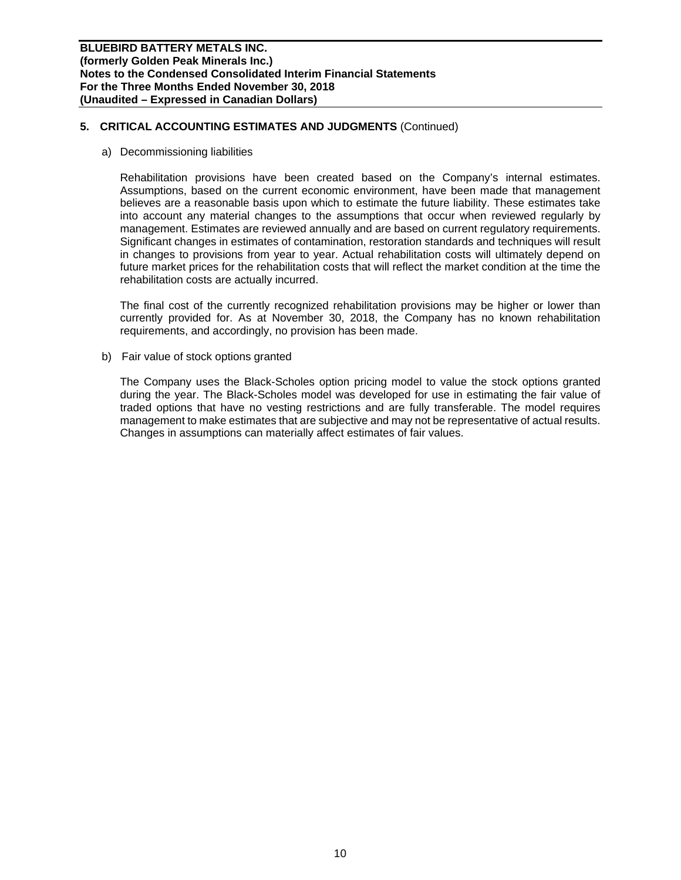## **5. CRITICAL ACCOUNTING ESTIMATES AND JUDGMENTS** (Continued)

#### a) Decommissioning liabilities

Rehabilitation provisions have been created based on the Company's internal estimates. Assumptions, based on the current economic environment, have been made that management believes are a reasonable basis upon which to estimate the future liability. These estimates take into account any material changes to the assumptions that occur when reviewed regularly by management. Estimates are reviewed annually and are based on current regulatory requirements. Significant changes in estimates of contamination, restoration standards and techniques will result in changes to provisions from year to year. Actual rehabilitation costs will ultimately depend on future market prices for the rehabilitation costs that will reflect the market condition at the time the rehabilitation costs are actually incurred.

The final cost of the currently recognized rehabilitation provisions may be higher or lower than currently provided for. As at November 30, 2018, the Company has no known rehabilitation requirements, and accordingly, no provision has been made.

b) Fair value of stock options granted

The Company uses the Black-Scholes option pricing model to value the stock options granted during the year. The Black-Scholes model was developed for use in estimating the fair value of traded options that have no vesting restrictions and are fully transferable. The model requires management to make estimates that are subjective and may not be representative of actual results. Changes in assumptions can materially affect estimates of fair values.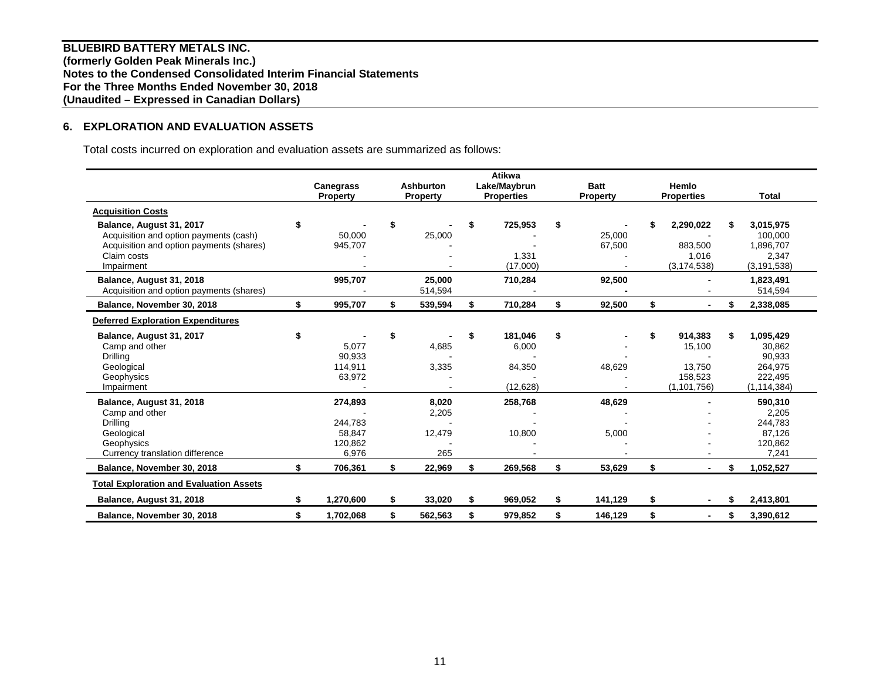**BLUEBIRD BATTERY METALS INC. (formerly Golden Peak Minerals Inc.) Notes to the Condensed Consolidated Interim Financial Statements For the Three Months Ended November 30, 2018 (Unaudited – Expressed in Canadian Dollars)** 

## **6. EXPLORATION AND EVALUATION ASSETS**

Total costs incurred on exploration and evaluation assets are summarized as follows:

|                                                |     |                  |                  | Atikwa            |    |                 |                      |    |               |
|------------------------------------------------|-----|------------------|------------------|-------------------|----|-----------------|----------------------|----|---------------|
|                                                |     | <b>Canegrass</b> | <b>Ashburton</b> | Lake/Maybrun      |    | <b>Batt</b>     | Hemlo                |    |               |
|                                                |     | <b>Property</b>  | <b>Property</b>  | <b>Properties</b> |    | <b>Property</b> | <b>Properties</b>    |    | <b>Total</b>  |
| <b>Acquisition Costs</b>                       |     |                  |                  |                   |    |                 |                      |    |               |
| Balance, August 31, 2017                       | \$  |                  | \$               | \$<br>725,953     | S  |                 | 2,290,022            |    | 3,015,975     |
| Acquisition and option payments (cash)         |     | 50,000           | 25,000           |                   |    | 25,000          |                      |    | 100,000       |
| Acquisition and option payments (shares)       |     | 945,707          |                  |                   |    | 67,500          | 883,500              |    | 1,896,707     |
| Claim costs                                    |     |                  |                  | 1,331             |    |                 | 1,016                |    | 2,347         |
| Impairment                                     |     |                  |                  | (17,000)          |    |                 | (3, 174, 538)        |    | (3, 191, 538) |
| Balance, August 31, 2018                       |     | 995,707          | 25,000           | 710,284           |    | 92,500          |                      |    | 1,823,491     |
| Acquisition and option payments (shares)       |     |                  | 514,594          |                   |    |                 |                      |    | 514,594       |
| Balance, November 30, 2018                     | \$  | 995,707          | \$<br>539,594    | \$<br>710,284     | \$ | 92,500          | \$                   |    | 2,338,085     |
| <b>Deferred Exploration Expenditures</b>       |     |                  |                  |                   |    |                 |                      |    |               |
| Balance, August 31, 2017                       | \$  |                  | \$               | \$<br>181,046     | \$ |                 | 914,383              |    | 1,095,429     |
| Camp and other                                 |     | 5,077            | 4,685            | 6,000             |    |                 | 15,100               |    | 30,862        |
| Drilling                                       |     | 90,933           |                  |                   |    |                 |                      |    | 90,933        |
| Geological                                     |     | 114,911          | 3,335            | 84,350            |    | 48,629          | 13,750               |    | 264,975       |
| Geophysics                                     |     | 63,972           |                  |                   |    |                 | 158,523              |    | 222,495       |
| Impairment                                     |     |                  |                  | (12, 628)         |    |                 | (1, 101, 756)        |    | (1,114,384)   |
| Balance, August 31, 2018                       |     | 274,893          | 8,020            | 258,768           |    | 48,629          |                      |    | 590,310       |
| Camp and other                                 |     |                  | 2,205            |                   |    |                 |                      |    | 2,205         |
| Drilling                                       |     | 244,783          |                  |                   |    |                 |                      |    | 244,783       |
| Geological                                     |     | 58,847           | 12,479           | 10,800            |    | 5,000           |                      |    | 87,126        |
| Geophysics                                     |     | 120,862          |                  |                   |    |                 |                      |    | 120,862       |
| Currency translation difference                |     | 6,976            | 265              |                   |    |                 |                      |    | 7,241         |
| Balance, November 30, 2018                     | \$  | 706,361          | \$<br>22,969     | \$<br>269,568     | \$ | 53,629          | \$                   | \$ | 1,052,527     |
| <b>Total Exploration and Evaluation Assets</b> |     |                  |                  |                   |    |                 |                      |    |               |
| Balance, August 31, 2018                       |     | 1,270,600        | \$<br>33,020     | \$<br>969,052     | \$ | 141,129         | \$<br>$\blacksquare$ |    | 2,413,801     |
| Balance, November 30, 2018                     | \$. | 1,702,068        | \$<br>562,563    | \$<br>979,852     | \$ | 146,129         | \$<br>$\blacksquare$ | S  | 3,390,612     |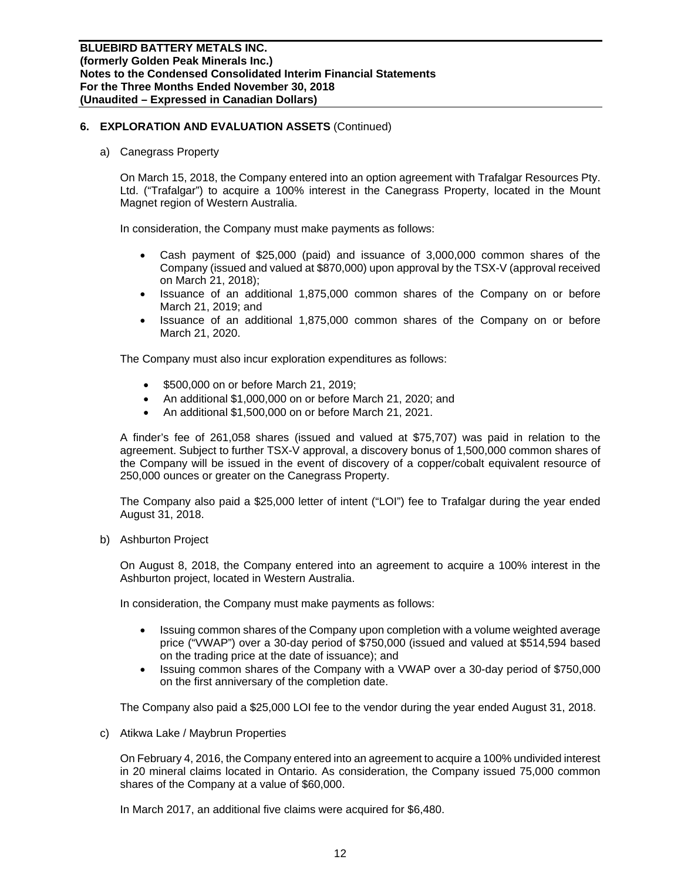a) Canegrass Property

On March 15, 2018, the Company entered into an option agreement with Trafalgar Resources Pty. Ltd. ("Trafalgar") to acquire a 100% interest in the Canegrass Property, located in the Mount Magnet region of Western Australia.

In consideration, the Company must make payments as follows:

- Cash payment of \$25,000 (paid) and issuance of 3,000,000 common shares of the Company (issued and valued at \$870,000) upon approval by the TSX-V (approval received on March 21, 2018);
- Issuance of an additional 1,875,000 common shares of the Company on or before March 21, 2019; and
- Issuance of an additional 1,875,000 common shares of the Company on or before March 21, 2020.

The Company must also incur exploration expenditures as follows:

- **\$500,000 on or before March 21, 2019;**
- An additional \$1,000,000 on or before March 21, 2020; and
- An additional \$1,500,000 on or before March 21, 2021.

A finder's fee of 261,058 shares (issued and valued at \$75,707) was paid in relation to the agreement. Subject to further TSX-V approval, a discovery bonus of 1,500,000 common shares of the Company will be issued in the event of discovery of a copper/cobalt equivalent resource of 250,000 ounces or greater on the Canegrass Property.

The Company also paid a \$25,000 letter of intent ("LOI") fee to Trafalgar during the year ended August 31, 2018.

b) Ashburton Project

On August 8, 2018, the Company entered into an agreement to acquire a 100% interest in the Ashburton project, located in Western Australia.

In consideration, the Company must make payments as follows:

- Issuing common shares of the Company upon completion with a volume weighted average price ("VWAP") over a 30-day period of \$750,000 (issued and valued at \$514,594 based on the trading price at the date of issuance); and
- Issuing common shares of the Company with a VWAP over a 30-day period of \$750,000 on the first anniversary of the completion date.

The Company also paid a \$25,000 LOI fee to the vendor during the year ended August 31, 2018.

c) Atikwa Lake / Maybrun Properties

On February 4, 2016, the Company entered into an agreement to acquire a 100% undivided interest in 20 mineral claims located in Ontario. As consideration, the Company issued 75,000 common shares of the Company at a value of \$60,000.

In March 2017, an additional five claims were acquired for \$6,480.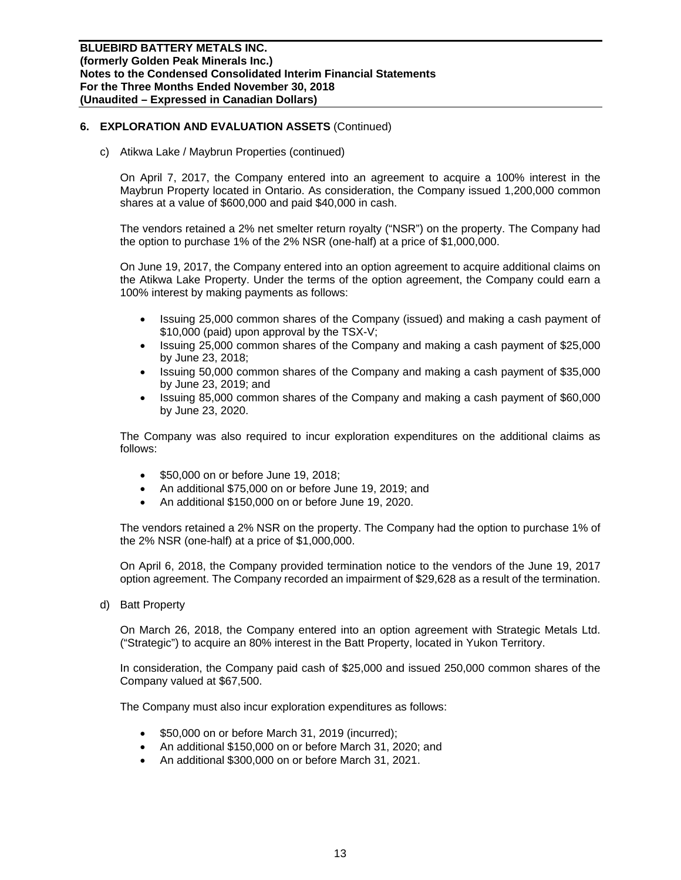c) Atikwa Lake / Maybrun Properties (continued)

On April 7, 2017, the Company entered into an agreement to acquire a 100% interest in the Maybrun Property located in Ontario. As consideration, the Company issued 1,200,000 common shares at a value of \$600,000 and paid \$40,000 in cash.

The vendors retained a 2% net smelter return royalty ("NSR") on the property. The Company had the option to purchase 1% of the 2% NSR (one-half) at a price of \$1,000,000.

On June 19, 2017, the Company entered into an option agreement to acquire additional claims on the Atikwa Lake Property. Under the terms of the option agreement, the Company could earn a 100% interest by making payments as follows:

- Issuing 25,000 common shares of the Company (issued) and making a cash payment of \$10,000 (paid) upon approval by the TSX-V;
- Issuing 25,000 common shares of the Company and making a cash payment of \$25,000 by June 23, 2018;
- Issuing 50,000 common shares of the Company and making a cash payment of \$35,000 by June 23, 2019; and
- Issuing 85,000 common shares of the Company and making a cash payment of \$60,000 by June 23, 2020.

The Company was also required to incur exploration expenditures on the additional claims as follows:

- **\$50,000 on or before June 19, 2018;**
- An additional \$75,000 on or before June 19, 2019; and
- An additional \$150,000 on or before June 19, 2020.

The vendors retained a 2% NSR on the property. The Company had the option to purchase 1% of the 2% NSR (one-half) at a price of \$1,000,000.

On April 6, 2018, the Company provided termination notice to the vendors of the June 19, 2017 option agreement. The Company recorded an impairment of \$29,628 as a result of the termination.

d) Batt Property

On March 26, 2018, the Company entered into an option agreement with Strategic Metals Ltd. ("Strategic") to acquire an 80% interest in the Batt Property, located in Yukon Territory.

In consideration, the Company paid cash of \$25,000 and issued 250,000 common shares of the Company valued at \$67,500.

The Company must also incur exploration expenditures as follows:

- \$50,000 on or before March 31, 2019 (incurred);
- An additional \$150,000 on or before March 31, 2020; and
- An additional \$300,000 on or before March 31, 2021.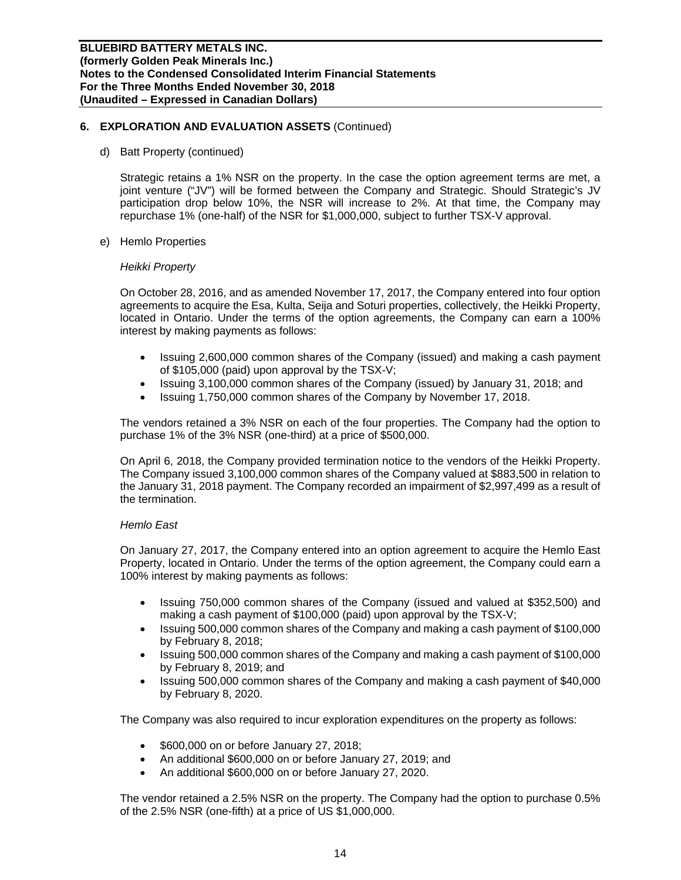d) Batt Property (continued)

Strategic retains a 1% NSR on the property. In the case the option agreement terms are met, a joint venture ("JV") will be formed between the Company and Strategic. Should Strategic's JV participation drop below 10%, the NSR will increase to 2%. At that time, the Company may repurchase 1% (one-half) of the NSR for \$1,000,000, subject to further TSX-V approval.

e) Hemlo Properties

#### *Heikki Property*

On October 28, 2016, and as amended November 17, 2017, the Company entered into four option agreements to acquire the Esa, Kulta, Seija and Soturi properties, collectively, the Heikki Property, located in Ontario. Under the terms of the option agreements, the Company can earn a 100% interest by making payments as follows:

- Issuing 2,600,000 common shares of the Company (issued) and making a cash payment of \$105,000 (paid) upon approval by the TSX-V;
- Issuing 3,100,000 common shares of the Company (issued) by January 31, 2018; and
- Issuing 1,750,000 common shares of the Company by November 17, 2018.

The vendors retained a 3% NSR on each of the four properties. The Company had the option to purchase 1% of the 3% NSR (one-third) at a price of \$500,000.

On April 6, 2018, the Company provided termination notice to the vendors of the Heikki Property. The Company issued 3,100,000 common shares of the Company valued at \$883,500 in relation to the January 31, 2018 payment. The Company recorded an impairment of \$2,997,499 as a result of the termination.

## *Hemlo East*

On January 27, 2017, the Company entered into an option agreement to acquire the Hemlo East Property, located in Ontario. Under the terms of the option agreement, the Company could earn a 100% interest by making payments as follows:

- Issuing 750,000 common shares of the Company (issued and valued at \$352,500) and making a cash payment of \$100,000 (paid) upon approval by the TSX-V;
- Issuing 500,000 common shares of the Company and making a cash payment of \$100,000 by February 8, 2018;
- Issuing 500,000 common shares of the Company and making a cash payment of \$100,000 by February 8, 2019; and
- Issuing 500,000 common shares of the Company and making a cash payment of \$40,000 by February 8, 2020.

The Company was also required to incur exploration expenditures on the property as follows:

- \$600,000 on or before January 27, 2018;
- An additional \$600,000 on or before January 27, 2019; and
- An additional \$600,000 on or before January 27, 2020.

The vendor retained a 2.5% NSR on the property. The Company had the option to purchase 0.5% of the 2.5% NSR (one-fifth) at a price of US \$1,000,000.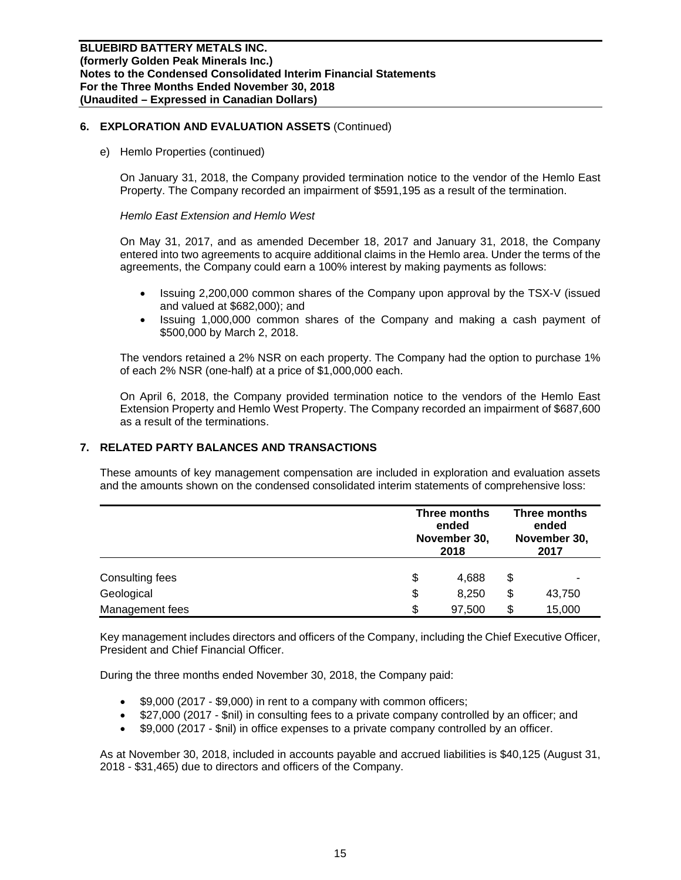e) Hemlo Properties (continued)

On January 31, 2018, the Company provided termination notice to the vendor of the Hemlo East Property. The Company recorded an impairment of \$591,195 as a result of the termination.

#### *Hemlo East Extension and Hemlo West*

On May 31, 2017, and as amended December 18, 2017 and January 31, 2018, the Company entered into two agreements to acquire additional claims in the Hemlo area. Under the terms of the agreements, the Company could earn a 100% interest by making payments as follows:

- Issuing 2,200,000 common shares of the Company upon approval by the TSX-V (issued and valued at \$682,000); and
- Issuing 1,000,000 common shares of the Company and making a cash payment of \$500,000 by March 2, 2018.

The vendors retained a 2% NSR on each property. The Company had the option to purchase 1% of each 2% NSR (one-half) at a price of \$1,000,000 each.

On April 6, 2018, the Company provided termination notice to the vendors of the Hemlo East Extension Property and Hemlo West Property. The Company recorded an impairment of \$687,600 as a result of the terminations.

## **7. RELATED PARTY BALANCES AND TRANSACTIONS**

These amounts of key management compensation are included in exploration and evaluation assets and the amounts shown on the condensed consolidated interim statements of comprehensive loss:

|                 | Three months<br>ended<br>November 30,<br>2018 |    | Three months<br>ended<br>November 30,<br>2017 |  |
|-----------------|-----------------------------------------------|----|-----------------------------------------------|--|
| Consulting fees | \$<br>4,688                                   | \$ |                                               |  |
| Geological      | \$<br>8,250                                   | \$ | 43,750                                        |  |
| Management fees | \$<br>97,500                                  | \$ | 15,000                                        |  |

Key management includes directors and officers of the Company, including the Chief Executive Officer, President and Chief Financial Officer.

During the three months ended November 30, 2018, the Company paid:

- \$9,000 (2017 \$9,000) in rent to a company with common officers;
- \$27,000 (2017 \$nil) in consulting fees to a private company controlled by an officer; and
- \$9,000 (2017 \$nil) in office expenses to a private company controlled by an officer.

As at November 30, 2018, included in accounts payable and accrued liabilities is \$40,125 (August 31, 2018 - \$31,465) due to directors and officers of the Company.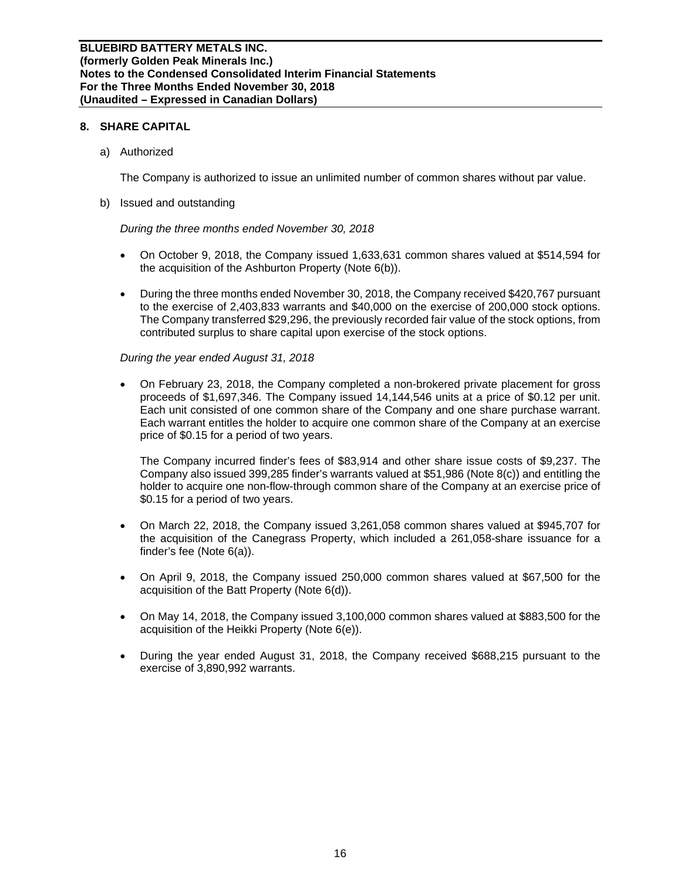## **8. SHARE CAPITAL**

a) Authorized

The Company is authorized to issue an unlimited number of common shares without par value.

b) Issued and outstanding

*During the three months ended November 30, 2018* 

- On October 9, 2018, the Company issued 1,633,631 common shares valued at \$514,594 for the acquisition of the Ashburton Property (Note 6(b)).
- During the three months ended November 30, 2018, the Company received \$420,767 pursuant to the exercise of 2,403,833 warrants and \$40,000 on the exercise of 200,000 stock options. The Company transferred \$29,296, the previously recorded fair value of the stock options, from contributed surplus to share capital upon exercise of the stock options.

## *During the year ended August 31, 2018*

 On February 23, 2018, the Company completed a non-brokered private placement for gross proceeds of \$1,697,346. The Company issued 14,144,546 units at a price of \$0.12 per unit. Each unit consisted of one common share of the Company and one share purchase warrant. Each warrant entitles the holder to acquire one common share of the Company at an exercise price of \$0.15 for a period of two years.

The Company incurred finder's fees of \$83,914 and other share issue costs of \$9,237. The Company also issued 399,285 finder's warrants valued at \$51,986 (Note 8(c)) and entitling the holder to acquire one non-flow-through common share of the Company at an exercise price of \$0.15 for a period of two years.

- On March 22, 2018, the Company issued 3,261,058 common shares valued at \$945,707 for the acquisition of the Canegrass Property, which included a 261,058-share issuance for a finder's fee (Note 6(a)).
- On April 9, 2018, the Company issued 250,000 common shares valued at \$67,500 for the acquisition of the Batt Property (Note 6(d)).
- On May 14, 2018, the Company issued 3,100,000 common shares valued at \$883,500 for the acquisition of the Heikki Property (Note 6(e)).
- During the year ended August 31, 2018, the Company received \$688,215 pursuant to the exercise of 3,890,992 warrants.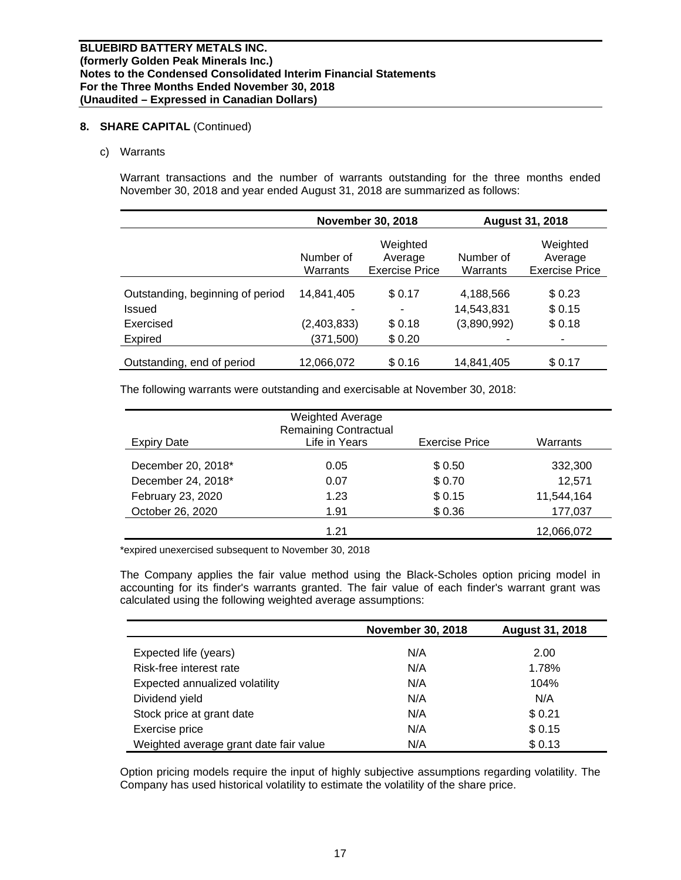## **8. SHARE CAPITAL** (Continued)

## c) Warrants

Warrant transactions and the number of warrants outstanding for the three months ended November 30, 2018 and year ended August 31, 2018 are summarized as follows:

|                                  |                       | <b>November 30, 2018</b>                     | <b>August 31, 2018</b> |                                              |  |
|----------------------------------|-----------------------|----------------------------------------------|------------------------|----------------------------------------------|--|
|                                  | Number of<br>Warrants | Weighted<br>Average<br><b>Exercise Price</b> | Number of<br>Warrants  | Weighted<br>Average<br><b>Exercise Price</b> |  |
| Outstanding, beginning of period | 14,841,405            | \$0.17                                       | 4,188,566              | \$0.23                                       |  |
| Issued                           |                       | ۰                                            | 14,543,831             | \$ 0.15                                      |  |
| Exercised                        | (2,403,833)           | \$0.18                                       | (3,890,992)            | \$0.18                                       |  |
| Expired                          | (371,500)             | \$0.20                                       | -                      | ۰                                            |  |
| Outstanding, end of period       | 12,066,072            | \$0.16                                       | 14,841,405             | \$0.17                                       |  |

The following warrants were outstanding and exercisable at November 30, 2018:

|                    | <b>Weighted Average</b><br><b>Remaining Contractual</b> |                       |            |
|--------------------|---------------------------------------------------------|-----------------------|------------|
| <b>Expiry Date</b> | Life in Years                                           | <b>Exercise Price</b> | Warrants   |
| December 20, 2018* | 0.05                                                    | \$0.50                | 332,300    |
| December 24, 2018* | 0.07                                                    | \$0.70                | 12,571     |
| February 23, 2020  | 1.23                                                    | \$0.15                | 11,544,164 |
| October 26, 2020   | 1.91                                                    | \$0.36                | 177,037    |
|                    | 1 21                                                    |                       | 12,066,072 |

\*expired unexercised subsequent to November 30, 2018

The Company applies the fair value method using the Black-Scholes option pricing model in accounting for its finder's warrants granted. The fair value of each finder's warrant grant was calculated using the following weighted average assumptions:

|                                        | <b>November 30, 2018</b> | <b>August 31, 2018</b> |
|----------------------------------------|--------------------------|------------------------|
| Expected life (years)                  | N/A                      | 2.00                   |
| Risk-free interest rate                | N/A                      | 1.78%                  |
| Expected annualized volatility         | N/A                      | 104%                   |
| Dividend yield                         | N/A                      | N/A                    |
| Stock price at grant date              | N/A                      | \$0.21                 |
| Exercise price                         | N/A                      | \$0.15                 |
| Weighted average grant date fair value | N/A                      | \$0.13                 |

Option pricing models require the input of highly subjective assumptions regarding volatility. The Company has used historical volatility to estimate the volatility of the share price.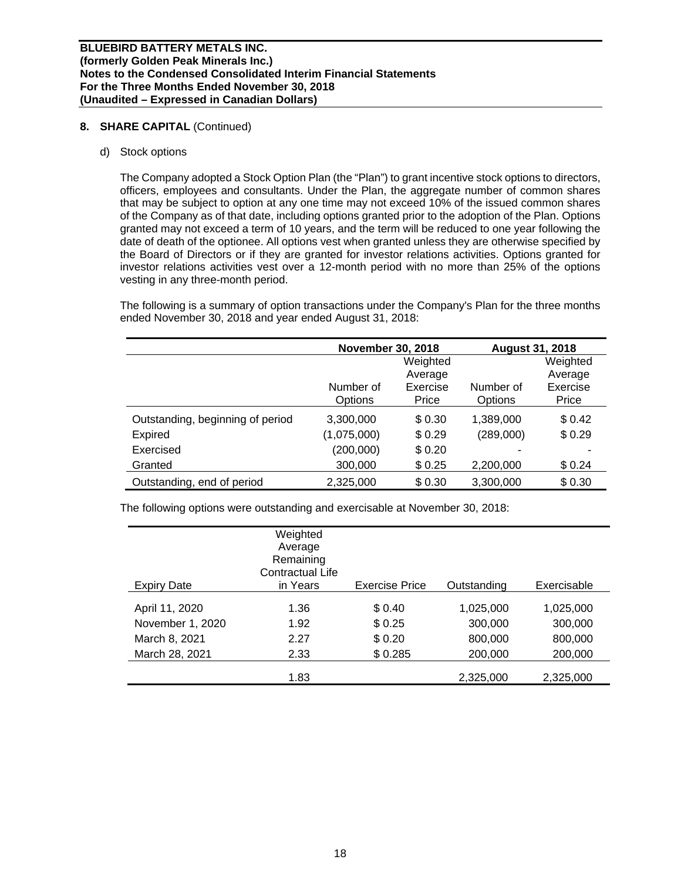## **8. SHARE CAPITAL** (Continued)

## d) Stock options

The Company adopted a Stock Option Plan (the "Plan") to grant incentive stock options to directors, officers, employees and consultants. Under the Plan, the aggregate number of common shares that may be subject to option at any one time may not exceed 10% of the issued common shares of the Company as of that date, including options granted prior to the adoption of the Plan. Options granted may not exceed a term of 10 years, and the term will be reduced to one year following the date of death of the optionee. All options vest when granted unless they are otherwise specified by the Board of Directors or if they are granted for investor relations activities. Options granted for investor relations activities vest over a 12-month period with no more than 25% of the options vesting in any three-month period.

The following is a summary of option transactions under the Company's Plan for the three months ended November 30, 2018 and year ended August 31, 2018:

|                                  | <b>November 30, 2018</b> |          | <b>August 31, 2018</b> |          |  |
|----------------------------------|--------------------------|----------|------------------------|----------|--|
|                                  |                          | Weighted |                        | Weighted |  |
|                                  |                          | Average  |                        | Average  |  |
|                                  | Number of                | Exercise | Number of              | Exercise |  |
|                                  | Options                  | Price    | Options                | Price    |  |
| Outstanding, beginning of period | 3,300,000                | \$0.30   | 1,389,000              | \$0.42   |  |
| Expired                          | (1,075,000)              | \$0.29   | (289,000)              | \$0.29   |  |
| Exercised                        | (200,000)                | \$0.20   |                        |          |  |
| Granted                          | 300,000                  | \$0.25   | 2,200,000              | \$0.24   |  |
| Outstanding, end of period       | 2,325,000                | \$0.30   | 3,300,000              | \$0.30   |  |

The following options were outstanding and exercisable at November 30, 2018:

| <b>Expiry Date</b> | Weighted<br>Average<br>Remaining<br><b>Contractual Life</b><br>in Years | <b>Exercise Price</b> | Outstanding | Exercisable |
|--------------------|-------------------------------------------------------------------------|-----------------------|-------------|-------------|
|                    |                                                                         |                       |             |             |
| April 11, 2020     | 1.36                                                                    | \$0.40                | 1,025,000   | 1,025,000   |
| November 1, 2020   | 1.92                                                                    | \$0.25                | 300,000     | 300,000     |
| March 8, 2021      | 2.27                                                                    | \$0.20                | 800,000     | 800,000     |
| March 28, 2021     | 2.33                                                                    | \$0.285               | 200,000     | 200,000     |
|                    | 1.83                                                                    |                       | 2,325,000   | 2,325,000   |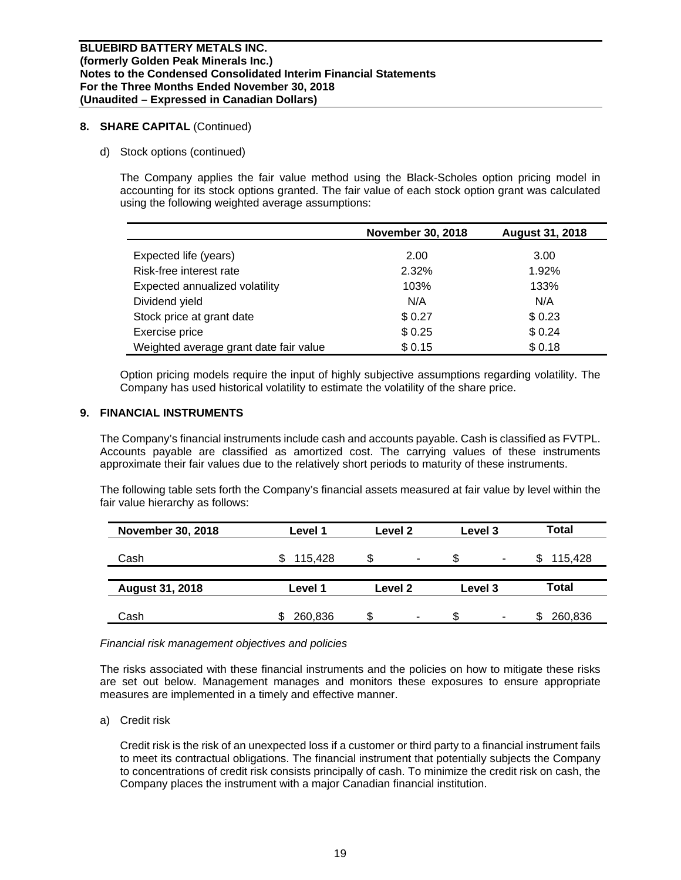## **8. SHARE CAPITAL** (Continued)

d) Stock options (continued)

The Company applies the fair value method using the Black-Scholes option pricing model in accounting for its stock options granted. The fair value of each stock option grant was calculated using the following weighted average assumptions:

|                                        | <b>November 30, 2018</b> | <b>August 31, 2018</b> |
|----------------------------------------|--------------------------|------------------------|
| Expected life (years)                  | 2.00                     | 3.00                   |
| Risk-free interest rate                | 2.32%                    | 1.92%                  |
| Expected annualized volatility         | 103%                     | 133%                   |
| Dividend yield                         | N/A                      | N/A                    |
| Stock price at grant date              | \$0.27                   | \$0.23                 |
| Exercise price                         | \$0.25                   | \$0.24                 |
| Weighted average grant date fair value | \$0.15                   | \$0.18                 |

Option pricing models require the input of highly subjective assumptions regarding volatility. The Company has used historical volatility to estimate the volatility of the share price.

## **9. FINANCIAL INSTRUMENTS**

The Company's financial instruments include cash and accounts payable. Cash is classified as FVTPL. Accounts payable are classified as amortized cost. The carrying values of these instruments approximate their fair values due to the relatively short periods to maturity of these instruments.

The following table sets forth the Company's financial assets measured at fair value by level within the fair value hierarchy as follows:

| <b>November 30, 2018</b> | Level 1 | Level <sub>2</sub> | Level 3             | Total        |  |
|--------------------------|---------|--------------------|---------------------|--------------|--|
| Cash                     | 115,428 | S<br>٠             | S<br>$\blacksquare$ | 115,428<br>S |  |
|                          |         |                    |                     |              |  |
| <b>August 31, 2018</b>   | Level 1 | <b>Level 2</b>     | Level 3             | Total        |  |
|                          |         |                    |                     |              |  |
| Cash                     | 260,836 | \$<br>۰            | \$<br>۰             | 260,836      |  |

## *Financial risk management objectives and policies*

The risks associated with these financial instruments and the policies on how to mitigate these risks are set out below. Management manages and monitors these exposures to ensure appropriate measures are implemented in a timely and effective manner.

a) Credit risk

Credit risk is the risk of an unexpected loss if a customer or third party to a financial instrument fails to meet its contractual obligations. The financial instrument that potentially subjects the Company to concentrations of credit risk consists principally of cash. To minimize the credit risk on cash, the Company places the instrument with a major Canadian financial institution.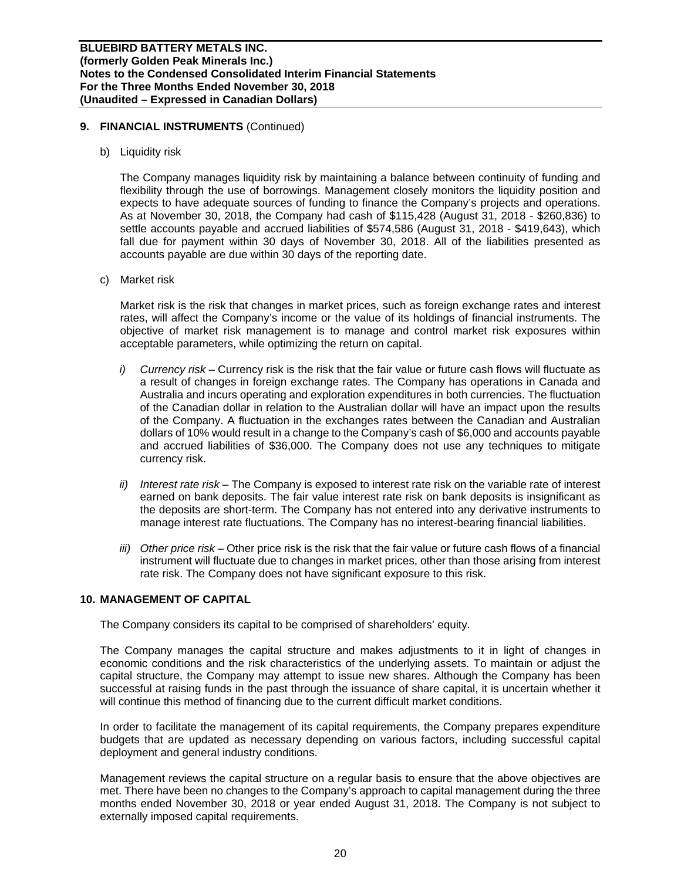## **9. FINANCIAL INSTRUMENTS** (Continued)

b) Liquidity risk

The Company manages liquidity risk by maintaining a balance between continuity of funding and flexibility through the use of borrowings. Management closely monitors the liquidity position and expects to have adequate sources of funding to finance the Company's projects and operations. As at November 30, 2018, the Company had cash of \$115,428 (August 31, 2018 - \$260,836) to settle accounts payable and accrued liabilities of \$574,586 (August 31, 2018 - \$419,643), which fall due for payment within 30 days of November 30, 2018. All of the liabilities presented as accounts payable are due within 30 days of the reporting date.

c) Market risk

Market risk is the risk that changes in market prices, such as foreign exchange rates and interest rates, will affect the Company's income or the value of its holdings of financial instruments. The objective of market risk management is to manage and control market risk exposures within acceptable parameters, while optimizing the return on capital.

- *i) Currency risk* Currency risk is the risk that the fair value or future cash flows will fluctuate as a result of changes in foreign exchange rates. The Company has operations in Canada and Australia and incurs operating and exploration expenditures in both currencies. The fluctuation of the Canadian dollar in relation to the Australian dollar will have an impact upon the results of the Company. A fluctuation in the exchanges rates between the Canadian and Australian dollars of 10% would result in a change to the Company's cash of \$6,000 and accounts payable and accrued liabilities of \$36,000. The Company does not use any techniques to mitigate currency risk.
- *ii) Interest rate risk* The Company is exposed to interest rate risk on the variable rate of interest earned on bank deposits. The fair value interest rate risk on bank deposits is insignificant as the deposits are short-term. The Company has not entered into any derivative instruments to manage interest rate fluctuations. The Company has no interest-bearing financial liabilities.
- *iii) Other price risk* Other price risk is the risk that the fair value or future cash flows of a financial instrument will fluctuate due to changes in market prices, other than those arising from interest rate risk. The Company does not have significant exposure to this risk.

## **10. MANAGEMENT OF CAPITAL**

The Company considers its capital to be comprised of shareholders' equity.

The Company manages the capital structure and makes adjustments to it in light of changes in economic conditions and the risk characteristics of the underlying assets. To maintain or adjust the capital structure, the Company may attempt to issue new shares. Although the Company has been successful at raising funds in the past through the issuance of share capital, it is uncertain whether it will continue this method of financing due to the current difficult market conditions.

In order to facilitate the management of its capital requirements, the Company prepares expenditure budgets that are updated as necessary depending on various factors, including successful capital deployment and general industry conditions.

Management reviews the capital structure on a regular basis to ensure that the above objectives are met. There have been no changes to the Company's approach to capital management during the three months ended November 30, 2018 or year ended August 31, 2018. The Company is not subject to externally imposed capital requirements.